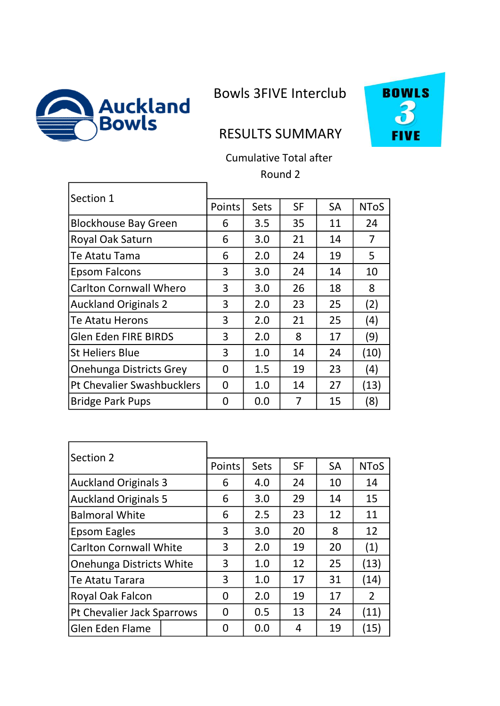

 $\mathbf{r}$ 

Bowls 3FIVE Interclub



## RESULTS SUMMARY

Cumulative Total after Round 2

| Section 1                         |        |             |           |           |             |
|-----------------------------------|--------|-------------|-----------|-----------|-------------|
|                                   | Points | <b>Sets</b> | <b>SF</b> | <b>SA</b> | <b>NToS</b> |
| <b>Blockhouse Bay Green</b>       | 6      | 3.5         | 35        | 11        | 24          |
| Royal Oak Saturn                  | 6      | 3.0         | 21        | 14        | 7           |
| Te Atatu Tama                     | 6      | 2.0         | 24        | 19        | 5           |
| <b>Epsom Falcons</b>              | 3      | 3.0         | 24        | 14        | 10          |
| <b>Carlton Cornwall Whero</b>     | 3      | 3.0         | 26        | 18        | 8           |
| <b>Auckland Originals 2</b>       | 3      | 2.0         | 23        | 25        | (2)         |
| Te Atatu Herons                   | 3      | 2.0         | 21        | 25        | (4)         |
| <b>Glen Eden FIRE BIRDS</b>       | 3      | 2.0         | 8         | 17        | (9)         |
| <b>St Heliers Blue</b>            | 3      | 1.0         | 14        | 24        | (10)        |
| Onehunga Districts Grey           | 0      | 1.5         | 19        | 23        | (4)         |
| <b>Pt Chevalier Swashbucklers</b> | 0      | 1.0         | 14        | 27        | (13)        |
| <b>Bridge Park Pups</b>           | 0      | 0.0         | 7         | 15        | (8)         |

| Section 2                       |               |             |           |           |             |
|---------------------------------|---------------|-------------|-----------|-----------|-------------|
|                                 | <b>Points</b> | <b>Sets</b> | <b>SF</b> | <b>SA</b> | <b>NToS</b> |
| <b>Auckland Originals 3</b>     | 6             | 4.0         | 24        | 10        | 14          |
| <b>Auckland Originals 5</b>     | 6             | 3.0         | 29        | 14        | 15          |
| <b>Balmoral White</b>           | 6             | 2.5         | 23        | 12        | 11          |
| Epsom Eagles                    | 3             | 3.0         | 20        | 8         | 12          |
| <b>Carlton Cornwall White</b>   | 3             | 2.0         | 19        | 20        | (1)         |
| <b>Onehunga Districts White</b> | 3             | 1.0         | 12        | 25        | (13)        |
| Te Atatu Tarara                 | 3             | 1.0         | 17        | 31        | (14)        |
| Royal Oak Falcon                | 0             | 2.0         | 19        | 17        | 2           |
| Pt Chevalier Jack Sparrows      | 0             | 0.5         | 13        | 24        | (11)        |
| <b>Glen Eden Flame</b>          | ი             | 0.0         | 4         | 19        | (15)        |

Ē.